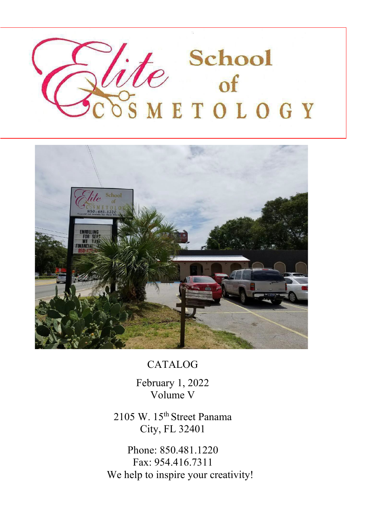



CATALOG

February 1, 2022 Volume V

2105 W. 15th Street Panama City, FL 32401

Phone: 850.481.1220 Fax: 954.416.7311 We help to inspire your creativity!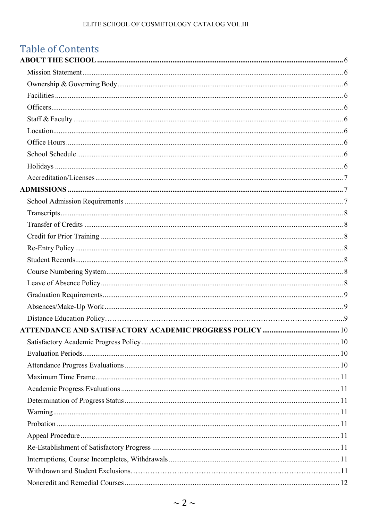## **Table of Contents**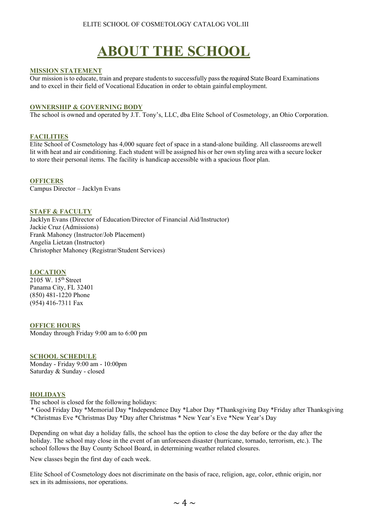# **ABOUT THE SCHOOL**

#### <span id="page-3-1"></span><span id="page-3-0"></span>**MISSION STATEMENT**

Our mission is to educate, train and prepare students to successfully pass the required State Board Examinations and to excel in their field of Vocational Education in order to obtain gainful employment.

#### <span id="page-3-2"></span>**OWNERSHIP & GOVERNING BODY**

The school is owned and operated by J.T. Tony's, LLC, dba Elite School of Cosmetology, an Ohio Corporation.

#### <span id="page-3-3"></span>**FACILITIES**

Elite School of Cosmetology has 4,000 square feet of space in a stand-alone building. All classrooms arewell lit with heat and air conditioning. Each student will be assigned his or her own styling area with a secure locker to store their personal items. The facility is handicap accessible with a spacious floor plan.

<span id="page-3-4"></span>**OFFICERS** Campus Director – Jacklyn Evans

#### <span id="page-3-5"></span>**STAFF & FACULTY**

Jacklyn Evans (Director of Education/Director of Financial Aid/Instructor) Jackie Cruz (Admissions) Frank Mahoney (Instructor/Job Placement) Angelia Lietzan (Instructor) Christopher Mahoney (Registrar/Student Services)

#### <span id="page-3-6"></span>**LOCATION**

2105 W. 15th Street Panama City, FL 32401 (850) 481-1220 Phone (954) 416-7311 Fax

#### <span id="page-3-7"></span>**OFFICE HOURS**

Monday through Friday 9:00 am to 6:00 pm

#### <span id="page-3-8"></span>**SCHOOL SCHEDULE**

Monday - Friday 9:00 am - 10:00pm Saturday & Sunday - closed

#### <span id="page-3-9"></span>**HOLIDAYS**

The school is closed for the following holidays:

 \* Good Friday Day \*Memorial Day \*Independence Day \*Labor Day \*Thanksgiving Day \*Friday after Thanksgiving \*Christmas Eve \*Christmas Day \*Day after Christmas \* New Year's Eve \*New Year's Day

Depending on what day a holiday falls, the school has the option to close the day before or the day after the holiday. The school may close in the event of an unforeseen disaster (hurricane, tornado, terrorism, etc.). The school follows the Bay County School Board, in determining weather related closures.

New classes begin the first day of each week.

Elite School of Cosmetology does not discriminate on the basis of race, religion, age, color, ethnic origin, nor sex in its admissions, nor operations.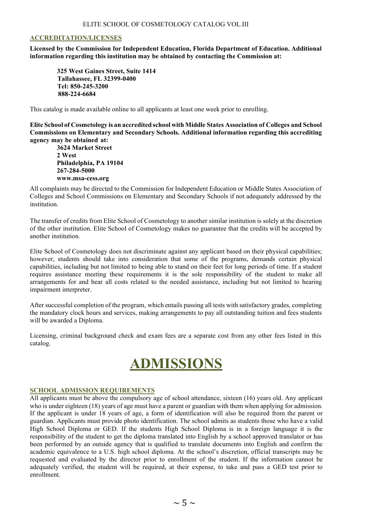#### <span id="page-4-0"></span>**ACCREDITATION/LICENSES**

**Licensed by the Commission for Independent Education, Florida Department of Education. Additional information regarding this institution may be obtained by contacting the Commission at:**

**325 West Gaines Street, Suite 1414 Tallahassee, FL 32399-0400 Tel: 850-245-3200 888-224-6684**

This catalog is made available online to all applicants at least one week prior to enrolling.

**Elite School of Cosmetology is an accredited school with Middle States Association of Colleges and School Commissions on Elementary and Secondary Schools. Additional information regarding this accrediting agency may be obtained at:**

**3624 Market Street 2 West Philadelphia, PA 19104 267-284-5000 www.msa-cess.org**

All complaints may be directed to the Commission for Independent Education or Middle States Association of Colleges and School Commissions on Elementary and Secondary Schools if not adequately addressed by the institution.

The transfer of credits from Elite School of Cosmetology to another similar institution is solely at the discretion of the other institution. Elite School of Cosmetology makes no guarantee that the credits will be accepted by another institution.

Elite School of Cosmetology does not discriminate against any applicant based on their physical capabilities; however, students should take into consideration that some of the programs, demands certain physical capabilities, including but not limited to being able to stand on their feet for long periods of time. If a student requires assistance meeting these requirements it is the sole responsibility of the student to make all arrangements for and bear all costs related to the needed assistance, including but not limited to hearing impairment interpreter.

After successful completion of the program, which entails passing all tests with satisfactory grades, completing the mandatory clock hours and services, making arrangements to pay all outstanding tuition and fees students will be awarded a Diploma.

<span id="page-4-1"></span>Licensing, criminal background check and exam fees are a separate cost from any other fees listed in this catalog.

# **ADMISSIONS**

#### <span id="page-4-2"></span>**SCHOOL ADMISSION REQUIREMENTS**

All applicants must be above the compulsory age of school attendance, sixteen (16) years old. Any applicant who is under eighteen (18) years of age must have a parent or guardian with them when applying for admission. If the applicant is under 18 years of age, a form of identification will also be required from the parent or guardian. Applicants must provide photo identification. The school admits as students those who have a valid High School Diploma or GED. If the students High School Diploma is in a foreign language it is the responsibility of the student to get the diploma translated into English by a school approved translator or has been performed by an outside agency that is qualified to translate documents into English and confirm the academic equivalence to a U.S. high school diploma. At the school's discretion, official transcripts may be requested and evaluated by the director prior to enrollment of the student. If the information cannot be adequately verified, the student will be required, at their expense, to take and pass a GED test prior to enrollment.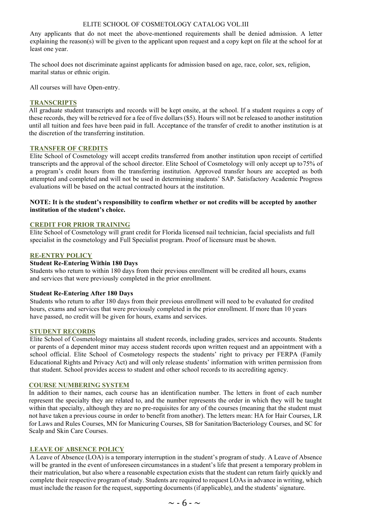Any applicants that do not meet the above-mentioned requirements shall be denied admission. A letter explaining the reason(s) will be given to the applicant upon request and a copy kept on file at the school for at least one year.

The school does not discriminate against applicants for admission based on age, race, color, sex, religion, marital status or ethnic origin.

All courses will have Open-entry.

#### <span id="page-5-0"></span>**TRANSCRIPTS**

All graduate student transcripts and records will be kept onsite, at the school. If a student requires a copy of these records, they will be retrieved for a fee of five dollars(\$5). Hours will not be released to another institution until all tuition and fees have been paid in full. Acceptance of the transfer of credit to another institution is at the discretion of the transferring institution.

#### <span id="page-5-1"></span>**TRANSFER OF CREDITS**

Elite School of Cosmetology will accept credits transferred from another institution upon receipt of certified transcripts and the approval of the school director. Elite School of Cosmetology will only accept up to75% of a program's credit hours from the transferring institution. Approved transfer hours are accepted as both attempted and completed and will not be used in determining students' SAP. Satisfactory Academic Progress evaluations will be based on the actual contracted hours at the institution.

#### **NOTE: It is the student's responsibility to confirm whether or not credits will be accepted by another institution of the student's choice.**

#### <span id="page-5-2"></span>**CREDIT FOR PRIOR TRAINING**

Elite School of Cosmetology will grant credit for Florida licensed nail technician, facial specialists and full specialist in the cosmetology and Full Specialist program. Proof of licensure must be shown.

#### <span id="page-5-3"></span>**RE-ENTRY POLICY**

#### **Student Re-Entering Within 180 Days**

Students who return to within 180 days from their previous enrollment will be credited all hours, exams and services that were previously completed in the prior enrollment.

#### **Student Re-Entering After 180 Days**

Students who return to after 180 days from their previous enrollment will need to be evaluated for credited hours, exams and services that were previously completed in the prior enrollment. If more than 10 years have passed, no credit will be given for hours, exams and services.

#### <span id="page-5-4"></span>**STUDENT RECORDS**

Elite School of Cosmetology maintains all student records, including grades, services and accounts. Students or parents of a dependent minor may access student records upon written request and an appointment with a school official. Elite School of Cosmetology respects the students' right to privacy per FERPA (Family Educational Rights and Privacy Act) and will only release students' information with written permission from that student. School provides access to student and other school records to its accrediting agency.

#### <span id="page-5-5"></span>**COURSE NUMBERING SYSTEM**

In addition to their names, each course has an identification number. The letters in front of each number represent the specialty they are related to, and the number represents the order in which they will be taught within that specialty, although they are no pre-requisites for any of the courses (meaning that the student must not have taken a previous course in order to benefit from another). The letters mean: HA for Hair Courses, LR for Laws and Rules Courses, MN for Manicuring Courses, SB for Sanitation/Bacteriology Courses, and SC for Scalp and Skin Care Courses.

#### <span id="page-5-6"></span>**LEAVE OF ABSENCE POLICY**

A Leave of Absence (LOA) is a temporary interruption in the student's program of study. A Leave of Absence will be granted in the event of unforeseen circumstances in a student's life that present a temporary problem in their matriculation, but also where a reasonable expectation exists that the student can return fairly quickly and complete their respective program of study. Students are required to request LOAs in advance in writing, which must include the reason for the request, supporting documents (if applicable), and the students' signature.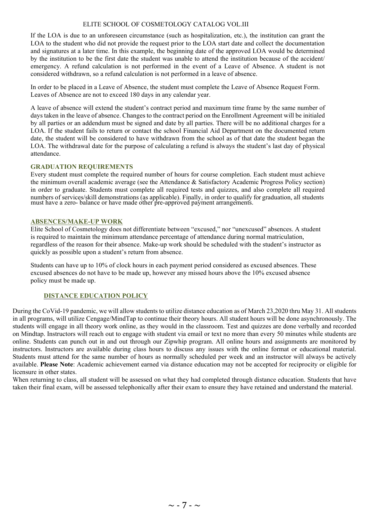If the LOA is due to an unforeseen circumstance (such as hospitalization, etc.), the institution can grant the LOA to the student who did not provide the request prior to the LOA start date and collect the documentation and signatures at a later time. In this example, the beginning date of the approved LOA would be determined by the institution to be the first date the student was unable to attend the institution because of the accident/ emergency. A refund calculation is not performed in the event of a Leave of Absence. A student is not considered withdrawn, so a refund calculation is not performed in a leave of absence.

In order to be placed in a Leave of Absence, the student must complete the Leave of Absence Request Form. Leaves of Absence are not to exceed 180 days in any calendar year.

A leave of absence will extend the student's contract period and maximum time frame by the same number of days taken in the leave of absence. Changes to the contract period on the Enrollment Agreement will be initialed by all parties or an addendum must be signed and date by all parties. There will be no additional charges for a LOA. If the student fails to return or contact the school Financial Aid Department on the documented return date, the student will be considered to have withdrawn from the school as of that date the student began the LOA. The withdrawal date for the purpose of calculating a refund is always the student's last day of physical attendance.

#### **GRADUATION REQUIREMENTS**

must have a zero- balance or have made other pre-approved payment arrangements. Every student must complete the required number of hours for course completion. Each student must achieve the minimum overall academic average (see the Attendance & Satisfactory Academic Progress Policy section) in order to graduate. Students must complete all required tests and quizzes, and also complete all required numbers of services/skill demonstrations (as applicable). Finally, in order to qualify for graduation, all students

#### <span id="page-6-0"></span>**ABSENCES/MAKE-UP WORK**

Elite School of Cosmetology does not differentiate between "excused," nor "unexcused" absences. A student is required to maintain the minimum attendance percentage of attendance during normal matriculation, regardless of the reason for their absence. Make-up work should be scheduled with the student's instructor as quickly as possible upon a student's return from absence.

Students can have up to 10% of clock hours in each payment period considered as excused absences. These excused absences do not have to be made up, however any missed hours above the 10% excused absence policy must be made up.

#### **DISTANCE EDUCATION POLICY**

During the CoVid-19 pandemic, we will allow students to utilize distance education as of March 23,2020 thru May 31. All students in all programs, will utilize Cengage/MindTap to continue their theory hours. All student hours will be done asynchronously. The students will engage in all theory work online, as they would in the classroom. Test and quizzes are done verbally and recorded on Mindtap. Instructors will reach out to engage with student via email or text no more than every 50 minutes while students are online. Students can punch out in and out through our Zipwhip program. All online hours and assignments are monitored by instructors. Instructors are available during class hours to discuss any issues with the online format or educational material. Students must attend for the same number of hours as normally scheduled per week and an instructor will always be actively available. **Please Note**: Academic achievement earned via distance education may not be accepted for reciprocity or eligible for licensure in other states.

<span id="page-6-1"></span>When returning to class, all student will be assessed on what they had completed through distance education. Students that have taken their final exam, will be assessed telephonically after their exam to ensure they have retained and understand the material.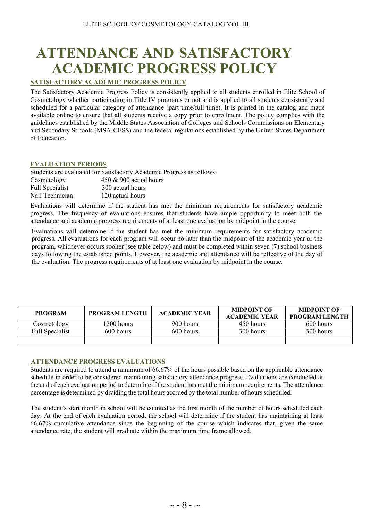# **ATTENDANCE AND SATISFACTORY ACADEMIC PROGRESS POLICY**

#### <span id="page-7-0"></span>**SATISFACTORY ACADEMIC PROGRESS POLICY**

The Satisfactory Academic Progress Policy is consistently applied to all students enrolled in Elite School of Cosmetology whether participating in Title IV programs or not and is applied to all students consistently and scheduled for a particular category of attendance (part time/full time). It is printed in the catalog and made available online to ensure that all students receive a copy prior to enrollment. The policy complies with the guidelines established by the Middle States Association of Colleges and Schools Commissions on Elementary and Secondary Schools (MSA-CESS) and the federal regulations established by the United States Department of Education.

#### <span id="page-7-1"></span>**EVALUATION PERIODS**

| Students are evaluated for Satisfactory Academic Progress as follows: |
|-----------------------------------------------------------------------|
| $450 \& 900$ actual hours                                             |
| 300 actual hours                                                      |
| 120 actual hours                                                      |
|                                                                       |

Evaluations will determine if the student has met the minimum requirements for satisfactory academic progress. The frequency of evaluations ensures that students have ample opportunity to meet both the attendance and academic progress requirements of at least one evaluation by midpoint in the course.

Evaluations will determine if the student has met the minimum requirements for satisfactory academic progress. All evaluations for each program will occur no later than the midpoint of the academic year or the program, whichever occurs sooner (see table below) and must be completed within seven (7) school business days following the established points. However, the academic and attendance will be reflective of the day of the evaluation. The progress requirements of at least one evaluation by midpoint in the course.

| <b>PROGRAM</b>         | <b>PROGRAM LENGTH</b> | <b>ACADEMIC YEAR</b> | <b>MIDPOINT OF</b><br><b>ACADEMIC YEAR</b> | <b>MIDPOINT OF</b><br><b>PROGRAM LENGTH</b> |
|------------------------|-----------------------|----------------------|--------------------------------------------|---------------------------------------------|
| Cosmetology            | 1200 hours            | 900 hours            | 450 hours                                  | 600 hours                                   |
| <b>Full Specialist</b> | 600 hours             | 600 hours            | 300 hours                                  | 300 hours                                   |
|                        |                       |                      |                                            |                                             |

#### <span id="page-7-2"></span> **ATTENDANCE PROGRESS EVALUATIONS**

Students are required to attend a minimum of 66.67% of the hours possible based on the applicable attendance schedule in order to be considered maintaining satisfactory attendance progress. Evaluations are conducted at the end of each evaluation period to determine if the student has met the minimum requirements. The attendance percentage is determined by dividing the total hours accrued by the total number of hoursscheduled.

<span id="page-7-3"></span>The student's start month in school will be counted as the first month of the number of hours scheduled each day. At the end of each evaluation period, the school will determine if the student has maintaining at least 66.67% cumulative attendance since the beginning of the course which indicates that, given the same attendance rate, the student will graduate within the maximum time frame allowed.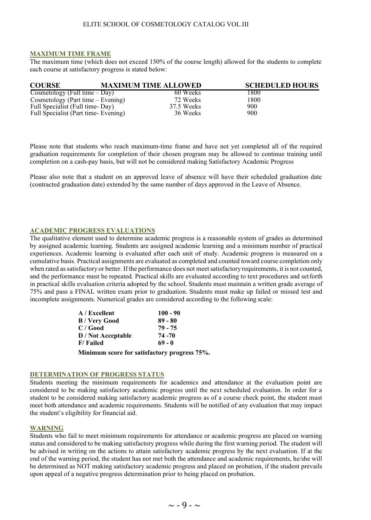#### **MAXIMUM TIME FRAME**

The maximum time (which does not exceed 150% of the course length) allowed for the students to complete each course at satisfactory progress is stated below:

| <b>COURSE</b>                       | <b>MAXIMUM TIME ALLOWED</b> | <b>SCHEDULED HOURS</b> |
|-------------------------------------|-----------------------------|------------------------|
| Cosmetology (Full time $-$ Day)     | 60 Weeks                    | 1800                   |
| Cosmetology (Part time $-$ Evening) | 72 Weeks                    | 1800                   |
| Full Specialist (Full time-Day)     | 37.5 Weeks                  | 900                    |
| Full Specialist (Part time-Evening) | 36 Weeks                    | 900                    |

Please note that students who reach maximum-time frame and have not yet completed all of the required graduation requirements for completion of their chosen program may be allowed to continue training until completion on a cash-pay basis, but will not be considered making Satisfactory Academic Progress

<span id="page-8-0"></span>Please also note that a student on an approved leave of absence will have their scheduled graduation date (contracted graduation date) extended by the same number of days approved in the Leave of Absence.

#### **ACADEMIC PROGRESS EVALUATIONS**

The qualitative element used to determine academic progress is a reasonable system of grades as determined by assigned academic learning. Students are assigned academic learning and a minimum number of practical experiences. Academic learning is evaluated after each unit of study. Academic progress is measured on a cumulative basis. Practical assignments are evaluated as completed and counted toward course completion only when rated as satisfactory or better. If the performance does not meet satisfactory requirements, it is not counted, and the performance must be repeated. Practical skills are evaluated according to text procedures and setforth in practical skills evaluation criteria adopted by the school. Students must maintain a written grade average of 75% and pass a FINAL written exam prior to graduation. Students must make up failed or missed test and incomplete assignments. Numerical grades are considered according to the following scale:

| A / Excellent                                | $100 - 90$ |
|----------------------------------------------|------------|
| B / Very Good                                | $89 - 80$  |
| C / Good                                     | 79 - 75    |
| <b>D</b> / Not Acceptable                    | 74 - 70    |
| F/ Failed                                    | 69 - 0     |
| Minimum score for satisfactory progress 75%. |            |

#### <span id="page-8-1"></span>**DETERMINATION OF PROGRESS STATUS**

Students meeting the minimum requirements for academics and attendance at the evaluation point are considered to be making satisfactory academic progress until the next scheduled evaluation. In order for a student to be considered making satisfactory academic progress as of a course check point, the student must meet both attendance and academic requirements. Students will be notified of any evaluation that may impact the student's eligibility for financial aid.

#### <span id="page-8-2"></span>**WARNING**

Students who fail to meet minimum requirements for attendance or academic progress are placed on warning status and considered to be making satisfactory progress while during the first warning period. The student will be advised in writing on the actions to attain satisfactory academic progress by the next evaluation. If at the end of the warning period, the student has not met both the attendance and academic requirements, he/she will be determined as NOT making satisfactory academic progress and placed on probation, if the student prevails upon appeal of a negative progress determination prior to being placed on probation.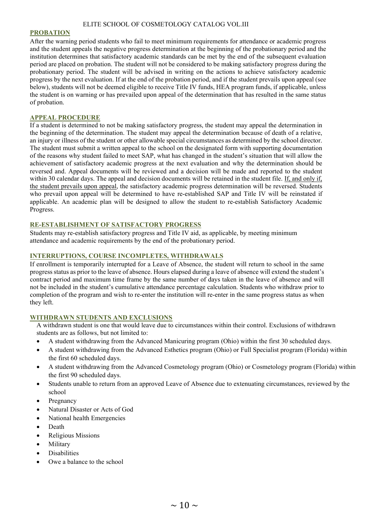#### <span id="page-9-0"></span>**PROBATION**

After the warning period students who fail to meet minimum requirements for attendance or academic progress and the student appeals the negative progress determination at the beginning of the probationary period and the institution determines that satisfactory academic standards can be met by the end of the subsequent evaluation period are placed on probation. The student will not be considered to be making satisfactory progress during the probationary period. The student will be advised in writing on the actions to achieve satisfactory academic progress by the next evaluation. If at the end of the probation period, and if the student prevails upon appeal (see below), students will not be deemed eligible to receive Title IV funds, HEA program funds, if applicable, unless the student is on warning or has prevailed upon appeal of the determination that has resulted in the same status of probation.

#### <span id="page-9-1"></span>**APPEAL PROCEDURE**

If a student is determined to not be making satisfactory progress, the student may appeal the determination in the beginning of the determination. The student may appeal the determination because of death of a relative, an injury or illness of the student or other allowable special circumstances as determined by the school director. The student must submit a written appeal to the school on the designated form with supporting documentation of the reasons why student failed to meet SAP, what has changed in the student's situation that will allow the achievement of satisfactory academic progress at the next evaluation and why the determination should be reversed and. Appeal documents will be reviewed and a decision will be made and reported to the student within 30 calendar days. The appeal and decision documents will be retained in the student file. If, and only if, the student prevails upon appeal, the satisfactory academic progress determination will be reversed. Students who prevail upon appeal will be determined to have re-established SAP and Title IV will be reinstated if applicable. An academic plan will be designed to allow the student to re-establish Satisfactory Academic Progress.

#### <span id="page-9-2"></span>**RE-ESTABLISHMENT OF SATISFACTORY PROGRESS**

Students may re-establish satisfactory progress and Title IV aid, as applicable, by meeting minimum attendance and academic requirements by the end of the probationary period.

#### <span id="page-9-3"></span>**INTERRUPTIONS, COURSE INCOMPLETES, WITHDRAWALS**

If enrollment is temporarily interrupted for a Leave of Absence, the student will return to school in the same progressstatus as prior to the leave of absence. Hours elapsed during a leave of absence will extend the student's contract period and maximum time frame by the same number of days taken in the leave of absence and will not be included in the student's cumulative attendance percentage calculation. Students who withdraw prior to completion of the program and wish to re-enter the institution will re-enter in the same progress status as when they left.

#### **WITHDRAWN STUDENTS AND EXCLUSIONS**

A withdrawn student is one that would leave due to circumstances within their control. Exclusions of withdrawn students are as follows, but not limited to:

- A student withdrawing from the Advanced Manicuring program (Ohio) within the first 30 scheduled days.
- A student withdrawing from the Advanced Esthetics program (Ohio) or Full Specialist program (Florida) within the first 60 scheduled days.
- A student withdrawing from the Advanced Cosmetology program (Ohio) or Cosmetology program (Florida) within the first 90 scheduled days.
- Students unable to return from an approved Leave of Absence due to extenuating circumstances, reviewed by the school
- Pregnancy
- Natural Disaster or Acts of God
- National health Emergencies
- Death
- Religious Missions
- Military
- Disabilities
- Owe a balance to the school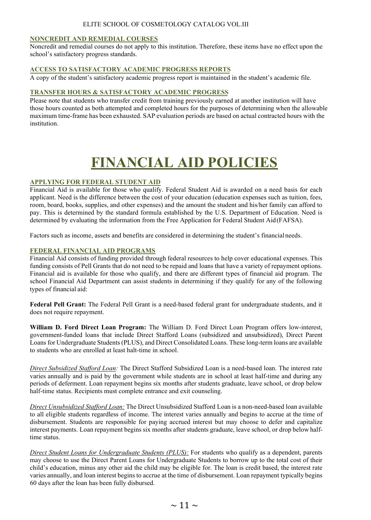#### <span id="page-10-0"></span>**NONCREDIT AND REMEDIAL COURSES**

Noncredit and remedial courses do not apply to this institution. Therefore, these items have no effect upon the school's satisfactory progress standards.

#### <span id="page-10-1"></span>**ACCESS TO SATISFACTORY ACADEMIC PROGRESS REPORTS**

A copy of the student's satisfactory academic progress report is maintained in the student's academic file.

#### **TRANSFER HOURS & SATISFACTORY ACADEMIC PROGRESS**

<span id="page-10-3"></span>Please note that students who transfer credit from training previously earned at another institution will have those hours counted as both attempted and completed hours for the purposes of determining when the allowable maximum time-frame has been exhausted. SAP evaluation periods are based on actual contracted hours with the institution.

# <span id="page-10-2"></span>**FINANCIAL AID POLICIES**

#### <span id="page-10-4"></span>**APPLYING FOR FEDERAL STUDENT AID**

Financial Aid is available for those who qualify. Federal Student Aid is awarded on a need basis for each applicant. Need is the difference between the cost of your education (education expenses such as tuition, fees, room, board, books, supplies, and other expenses) and the amount the student and his/her family can afford to pay. This is determined by the standard formula established by the U.S. Department of Education. Need is determined by evaluating the information from the Free Application for Federal Student Aid(FAFSA).

Factors such as income, assets and benefits are considered in determining the student's financialneeds.

#### <span id="page-10-5"></span>**FEDERAL FINANCIAL AID PROGRAMS**

Financial Aid consists of funding provided through federal resources to help cover educational expenses. This funding consists of Pell Grants that do not need to be repaid and loans that have a variety of repayment options. Financial aid is available for those who qualify, and there are different types of financial aid program. The school Financial Aid Department can assist students in determining if they qualify for any of the following types of financial aid:

**Federal Pell Grant:** The Federal Pell Grant is a need-based federal grant for undergraduate students, and it does not require repayment.

**William D. Ford Direct Loan Program:** The William D. Ford Direct Loan Program offers low-interest, government-funded loans that include Direct Stafford Loans (subsidized and unsubsidized), Direct Parent Loans for Undergraduate Students (PLUS), and Direct Consolidated Loans. These long-term loans are available to students who are enrolled at least halt-time in school.

*Direct Subsidized Stafford Loan:* The Direct Stafford Subsidized Loan is a need-based loan. The interest rate varies annually and is paid by the government while students are in school at least half-time and during any periods of deferment. Loan repayment begins six months after students graduate, leave school, or drop below half-time status. Recipients must complete entrance and exit counseling.

*Direct Unsubsidized Stafford Loan:* The Direct Unsubsidized Stafford Loan is a non-need-based loan available to all eligible students regardless of income. The interest varies annually and begins to accrue at the time of disbursement. Students are responsible for paying accrued interest but may choose to defer and capitalize interest payments. Loan repayment begins six months after students graduate, leave school, or drop below halftime status.

*Direct Student Loans for Undergraduate Students (PLUS):* For students who qualify as a dependent, parents may choose to use the Direct Parent Loans for Undergraduate Students to borrow up to the total cost of their child's education, minus any other aid the child may be eligible for. The loan is credit based, the interest rate varies annually, and loan interest begins to accrue at the time of disbursement. Loan repayment typically begins 60 days after the loan has been fully disbursed.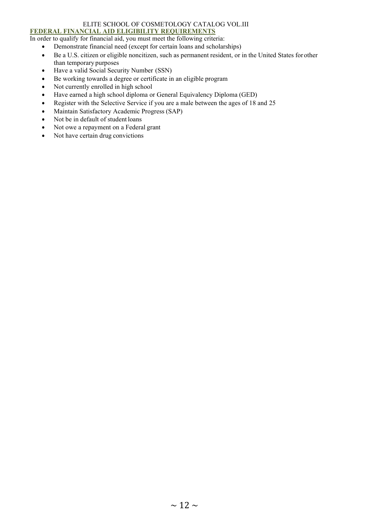#### ELITE SCHOOL OF COSMETOLOGY CATALOG VOL.III **FEDERAL FINANCIAL AID ELIGIBILITY REQUIREMENTS**

#### <span id="page-11-0"></span>In order to qualify for financial aid, you must meet the following criteria:

- Demonstrate financial need (except for certain loans and scholarships)
- Be a U.S. citizen or eligible noncitizen, such as permanent resident, or in the United States forother than temporary purposes
- Have a valid Social Security Number (SSN)
- Be working towards a degree or certificate in an eligible program
- Not currently enrolled in high school
- Have earned a high school diploma or General Equivalency Diploma (GED)
- Register with the Selective Service if you are a male between the ages of 18 and 25
- Maintain Satisfactory Academic Progress (SAP)
- Not be in default of student loans
- Not owe a repayment on a Federal grant
- Not have certain drug convictions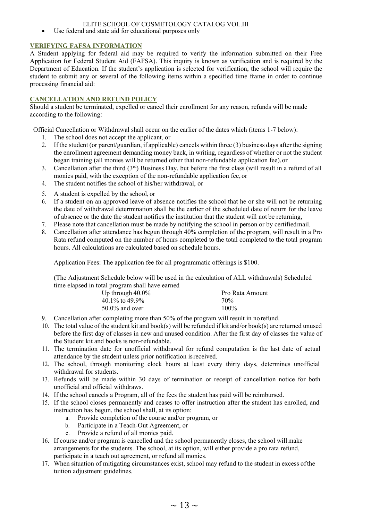• Use federal and state aid for educational purposes only

#### <span id="page-12-0"></span>**VERIFYING FAFSA INFORMATION**

A Student applying for federal aid may be required to verify the information submitted on their Free Application for Federal Student Aid (FAFSA). This inquiry is known as verification and is required by the Department of Education. If the student's application is selected for verification, the school will require the student to submit any or several of the following items within a specified time frame in order to continue processing financial aid:

#### <span id="page-12-1"></span>**CANCELLATION AND REFUND POLICY**

Should a student be terminated, expelled or cancel their enrollment for any reason, refunds will be made according to the following:

Official Cancellation or Withdrawal shall occur on the earlier of the dates which (items 1-7 below):

- 1. The school does not accept the applicant, or<br>2. If the student (or parent/guardian, if applicable
- If the student (or parent/guardian, if applicable) cancels within three  $(3)$  business days after the signing the enrollment agreement demanding money back, in writing, regardless of whether or not the student began training (all monies will be returned other that non-refundable application fee),or
- 3. Cancellation after the third  $(3<sup>rd</sup>)$  Business Day, but before the first class (will result in a refund of all monies paid, with the exception of the non-refundable application fee, or
- 4. The student notifies the school of his/her withdrawal, or
- 5. A student is expelled by the school, or
- 6. If a student on an approved leave of absence notifies the school that he or she will not be returning the date of withdrawal determination shall be the earlier of the scheduled date of return for the leave of absence or the date the student notifies the institution that the student will not be returning,
- 7. Please note that cancellation must be made by notifying the school in person or by certifiedmail.
- 8. Cancellation after attendance has begun through 40% completion of the program, will result in a Pro Rata refund computed on the number of hours completed to the total completed to the total program hours. All calculations are calculated based on schedule hours.

Application Fees: The application fee for all programmatic offerings is \$100.

(The Adjustment Schedule below will be used in the calculation of ALL withdrawals) Scheduled time elapsed in total program shall have earned

| Up through $40.0\%$ | Pro Rata Amount |
|---------------------|-----------------|
| 40.1\% to 49.9\%    | 70%             |
| $50.0\%$ and over   | $100\%$         |

- 9. Cancellation after completing more than 50% of the program will result in norefund.
- 10. The total value of the student kit and book(s) will be refunded if kit and/or book(s) are returned unused before the first day of classes in new and unused condition. After the first day of classes the value of the Student kit and books is non-refundable.
- 11. The termination date for unofficial withdrawal for refund computation is the last date of actual attendance by the student unless prior notification isreceived.
- 12. The school, through monitoring clock hours at least every thirty days, determines unofficial withdrawal for students.
- 13. Refunds will be made within 30 days of termination or receipt of cancellation notice for both unofficial and official withdraws.
- 14. If the school cancels a Program, all of the fees the student has paid will be reimbursed.
- 15. If the school closes permanently and ceases to offer instruction after the student has enrolled, and instruction has begun, the school shall, at its option:
	- a. Provide completion of the course and/or program, or
	- b. Participate in a Teach-Out Agreement, or
	- c. Provide a refund of all monies paid.
- 16. If course and/or program is cancelled and the school permanently closes, the school will make arrangements for the students. The school, at its option, will either provide a pro rata refund, participate in a teach out agreement, or refund allmonies.
- 17. When situation of mitigating circumstances exist, school may refund to the student in excess ofthe tuition adjustment guidelines.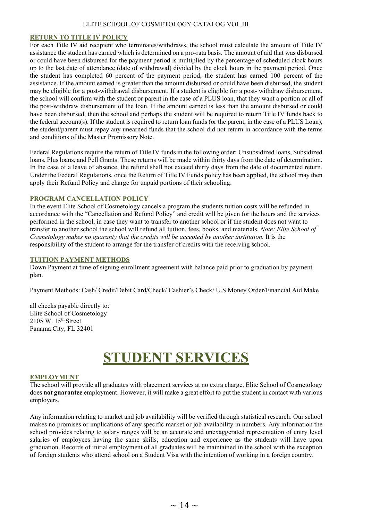#### <span id="page-13-0"></span>**RETURN TO TITLE IV POLICY**

For each Title IV aid recipient who terminates/withdraws, the school must calculate the amount of Title IV assistance the student has earned which is determined on a pro-rata basis. The amount of aid that was disbursed or could have been disbursed for the payment period is multiplied by the percentage of scheduled clock hours up to the last date of attendance (date of withdrawal) divided by the clock hours in the payment period. Once the student has completed 60 percent of the payment period, the student has earned 100 percent of the assistance. If the amount earned is greater than the amount disbursed or could have been disbursed, the student may be eligible for a post-withdrawal disbursement. If a student is eligible for a post- withdraw disbursement, the school will confirm with the student or parent in the case of a PLUS loan, that they want a portion or all of the post-withdraw disbursement of the loan. If the amount earned is less than the amount disbursed or could have been disbursed, then the school and perhaps the student will be required to return Title IV funds back to the federal account(s). If the student is required to return loan funds (or the parent, in the case of a PLUS Loan), the student/parent must repay any unearned funds that the school did not return in accordance with the terms and conditions of the Master Promissory Note.

Federal Regulations require the return of Title IV funds in the following order: Unsubsidized loans, Subsidized loans, Plus loans, and Pell Grants. These returns will be made within thirty days from the date of determination. In the case of a leave of absence, the refund shall not exceed thirty days from the date of documented return. Under the Federal Regulations, once the Return of Title IV Funds policy has been applied, the school may then apply their Refund Policy and charge for unpaid portions of their schooling.

#### <span id="page-13-1"></span>**PROGRAM CANCELLATION POLICY**

In the event Elite School of Cosmetology cancels a program the students tuition costs will be refunded in accordance with the "Cancellation and Refund Policy" and credit will be given for the hours and the services performed in the school, in case they want to transfer to another school or if the student does not want to transfer to another school the school will refund all tuition, fees, books, and materials. *Note: Elite School of Cosmetology makes no guaranty that the credits will be accepted by another institution.* It is the responsibility of the student to arrange for the transfer of credits with the receiving school.

#### <span id="page-13-2"></span>**TUITION PAYMENT METHODS**

Down Payment at time of signing enrollment agreement with balance paid prior to graduation by payment plan.

Payment Methods: Cash/ Credit/Debit Card/Check/ Cashier's Check/ U.S Money Order/Financial Aid Make

all checks payable directly to: Elite School of Cosmetology 2105 W. 15th Street Panama City, FL 32401

## **STUDENT SERVICES**

#### <span id="page-13-4"></span><span id="page-13-3"></span>**EMPLOYMENT**

The school will provide all graduates with placement services at no extra charge. Elite School of Cosmetology does **not guarantee** employment. However, it will make a great effort to put the student in contact with various employers.

Any information relating to market and job availability will be verified through statistical research. Our school makes no promises or implications of any specific market or job availability in numbers. Any information the school provides relating to salary ranges will be an accurate and unexaggerated representation of entry level salaries of employees having the same skills, education and experience as the students will have upon graduation. Records of initial employment of all graduates will be maintained in the school with the exception of foreign students who attend school on a Student Visa with the intention of working in a foreign country.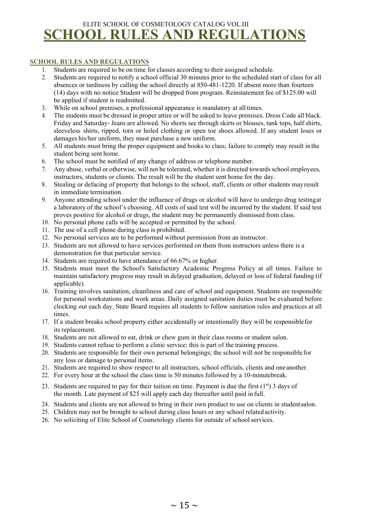### <span id="page-14-0"></span>ELITE SCHOOL OF COSMETOLOGY CATALOG VOL.III **SCHOOL RULES AND REGULATIONS**

#### <span id="page-14-1"></span>**SCHOOL RULES AND REGULATIONS**

- 1. Students are required to be on time for classes according to their assigned schedule.
- 2. Students are required to notify a school official 30 minutes prior to the scheduled start of class for all absences or tardiness by calling the school directly at 850-481-1220. If absent more than fourteen (14) days with no notice Student will be dropped from program. Reinstatement fee of \$125.00 will be applied if student is readmitted.
- 3. While on school premises, a professional appearance is mandatory at all times.
- 4. The students must be dressed in proper attire or will be asked to leave premises. Dress Code all black. Friday and Saturday- Jeans are allowed. No shorts see through skirts or blouses, tank tops, half shirts, sleeveless shirts, ripped, torn or holed clothing or open toe shoes allowed. If any student loses or damages his/her uniform, they must purchase a new uniform.
- 5. All students must bring the proper equipment and books to class; failure to comply may result in the student being sent home.
- 6. The school must be notified of any change of address or telephone number.
- 7. Any abuse, verbal or otherwise, will not be tolerated, whether it is directed towardsschool employees, instructors, students or clients. The result will be the student sent home for the day.
- 8. Stealing or defacing of property that belongs to the school, staff, clients or other students mayresult in immediate termination.
- 9. Anyone attending school under the influence of drugs or alcohol will have to undergo drug testingat a laboratory of the school's choosing. All costs of said test will be incurred by the student. If said test proves positive for alcohol or drugs, the student may be permanently dismissed from class.
- 10. No personal phone calls will be accepted or permitted by the school.
- 11. The use of a cell phone during class is prohibited.
- 12. No personal services are to be performed without permission from an instructor.
- 13. Students are not allowed to have services performed on them from instructors unless there is a demonstration for that particular service.
- 14. Students are required to have attendance of 66.67% or higher.
- 15. Students must meet the School's Satisfactory Academic Progress Policy at all times. Failure to maintain satisfactory progress may result in delayed graduation, delayed or loss of federal funding (if applicable).
- 16. Training involves sanitation, cleanliness and care of school and equipment. Students are responsible for personal workstations and work areas. Daily assigned sanitation duties must be evaluated before clocking out each day. State Board requires all students to follow sanitation rules and practices at all times.
- 17. If a student breaks school property either accidentally or intentionally they will be responsiblefor its replacement.
- 18. Students are not allowed to eat, drink or chew gum in their class rooms or student salon.
- 19. Students cannot refuse to perform a clinic service; this is part of the training process.
- 20. Students are responsible for their own personal belongings; the school will not be responsiblefor any loss or damage to personal items.
- 21. Students are required to show respect to all instructors, school officials, clients and oneanother.
- 22. For every hour at the school the class time is 50 minutes followed by a 10-minutebreak.
- 23. Students are required to pay for their tuition on time. Payment is due the first  $(1<sup>st</sup>)$  3 days of the month. Late payment of \$25 will apply each day thereafter until paid in full.
- 24. Students and clients are not allowed to bring in their own product to use on clients in studentsalon.
- 25. Children may not be brought to school during class hours or any school related activity.
- 26. No soliciting of Elite School of Cosmetology clients for outside of schoolservices.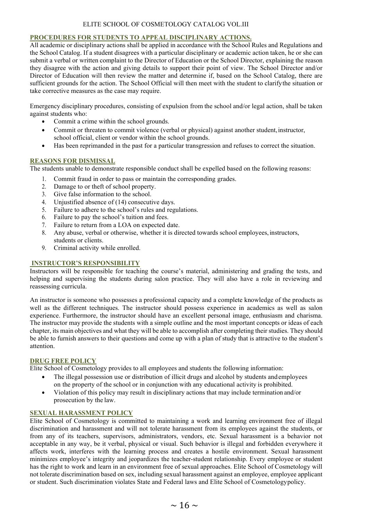#### <span id="page-15-0"></span>**PROCEDURES FOR STUDENTS TO APPEAL DISCIPLINARY ACTIONS.**

All academic or disciplinary actions shall be applied in accordance with the School Rules and Regulations and the School Catalog. If a student disagrees with a particular disciplinary or academic action taken, he or she can submit a verbal or written complaint to the Director of Education or the School Director, explaining the reason they disagree with the action and giving details to support their point of view. The School Director and/or Director of Education will then review the matter and determine if, based on the School Catalog, there are sufficient grounds for the action. The School Official will then meet with the student to clarifythe situation or take corrective measures as the case may require.

Emergency disciplinary procedures, consisting of expulsion from the school and/or legal action, shall be taken against students who:

- Commit a crime within the school grounds.
- Commit or threaten to commit violence (verbal or physical) against another student, instructor, school official, client or vendor within the school grounds.
- Has been reprimanded in the past for a particular transgression and refuses to correct the situation.

#### <span id="page-15-1"></span>**REASONS FOR DISMISSAL**

The students unable to demonstrate responsible conduct shall be expelled based on the following reasons:

- 1. Commit fraud in order to pass or maintain the corresponding grades.
- 2. Damage to or theft of school property.<br>3. Give false information to the school.
- Give false information to the school.
- 4. Unjustified absence of (14) consecutive days.
- 5. Failure to adhere to the school's rules and regulations.
- 6. Failure to pay the school's tuition and fees.
- 7. Failure to return from a LOA on expected date.
- 8. Any abuse, verbal or otherwise, whether it is directed towards school employees, instructors, students or clients.
- 9. Criminal activity while enrolled.

#### <span id="page-15-2"></span>**INSTRUCTOR'S RESPONSIBILITY**

Instructors will be responsible for teaching the course's material, administering and grading the tests, and helping and supervising the students during salon practice. They will also have a role in reviewing and reassessing curricula.

An instructor is someone who possesses a professional capacity and a complete knowledge of the products as well as the different techniques. The instructor should possess experience in academics as well as salon experience. Furthermore, the instructor should have an excellent personal image, enthusiasm and charisma. The instructor may provide the students with a simple outline and the most important concepts or ideas of each chapter, its main objectives and what they will be able to accomplish after completing their studies. They should be able to furnish answers to their questions and come up with a plan of study that is attractive to the student's attention.

#### <span id="page-15-3"></span>**DRUG FREE POLICY**

Elite School of Cosmetology provides to all employees and students the following information:

- The illegal possession use or distribution of illicit drugs and alcohol by students and employees on the property of the school or in conjunction with any educational activity is prohibited.
- Violation of this policy may result in disciplinary actions that may include termination and/or prosecution by the law.

#### <span id="page-15-4"></span>**SEXUAL HARASSMENT POLICY**

Elite School of Cosmetology is committed to maintaining a work and learning environment free of illegal discrimination and harassment and will not tolerate harassment from its employees against the students, or from any of its teachers, supervisors, administrators, vendors, etc. Sexual harassment is a behavior not acceptable in any way, be it verbal, physical or visual. Such behavior is illegal and forbidden everywhere it affects work, interferes with the learning process and creates a hostile environment. Sexual harassment minimizes employee's integrity and jeopardizes the teacher-student relationship. Every employee or student has the right to work and learn in an environment free of sexual approaches. Elite School of Cosmetology will not tolerate discrimination based on sex, including sexual harassment against an employee, employee applicant or student. Such discrimination violates State and Federal laws and Elite School of Cosmetologypolicy.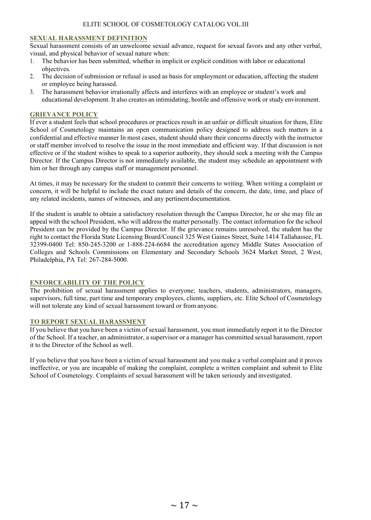#### <span id="page-16-0"></span>**SEXUAL HARASSMENT DEFINITION**

Sexual harassment consists of an unwelcome sexual advance, request for sexual favors and any other verbal, visual, and physical behavior of sexual nature when:

- 1. The behavior has been submitted, whether in implicit or explicit condition with labor or educational objectives.
- 2. The decision of submission or refusal is used as basis for employment or education, affecting the student or employee being harassed.
- 3. The harassment behavior irrationally affects and interferes with an employee or student's work and educational development. It also creates an intimidating, hostile and offensive work or study environment.

#### <span id="page-16-1"></span>**GRIEVANCE POLICY**

If ever a student feels that school procedures or practices result in an unfair or difficult situation for them, Elite School of Cosmetology maintains an open communication policy designed to address such matters in a confidential and effective manner In most cases, student should share their concerns directly with the instructor or staff member involved to resolve the issue in the most immediate and efficient way. If that discussion is not effective or if the student wishes to speak to a superior authority, they should seek a meeting with the Campus Director. If the Campus Director is not immediately available, the student may schedule an appointment with him or her through any campus staff or management personnel.

At times, it may be necessary for the student to commit their concerns to writing. When writing a complaint or concern, it will be helpful to include the exact nature and details of the concern, the date, time, and place of any related incidents, names of witnesses, and any pertinent documentation.

If the student is unable to obtain a satisfactory resolution through the Campus Director, he or she may file an appeal with the school President, who will addressthe matter personally. The contact information for the school President can be provided by the Campus Director. If the grievance remains unresolved, the student has the right to contact the Florida State Licensing Board/Council 325 West Gaines Street, Suite 1414 Tallahassee, FL 32399-0400 Tel: 850-245-3200 or 1-888-224-6684 the accreditation agency Middle States Association of Colleges and Schools Commissions on Elementary and Secondary Schools 3624 Market Street, 2 West, Philadelphia, PA Tel: 267-284-5000.

#### <span id="page-16-2"></span>**ENFORCEABILITY OF THE POLICY**

The prohibition of sexual harassment applies to everyone; teachers, students, administrators, managers, supervisors, full time, part time and temporary employees, clients, suppliers, etc. Elite School of Cosmetology will not tolerate any kind of sexual harassment toward or from anyone.

#### <span id="page-16-3"></span>**TO REPORT SEXUAL HARASSMENT**

If you believe that you have been a victim of sexual harassment, you must immediately report it to the Director of the School. If a teacher, an administrator, a supervisor or a manager has committed sexual harassment, report it to the Director of the School as well.

If you believe that you have been a victim of sexual harassment and you make a verbal complaint and it proves ineffective, or you are incapable of making the complaint, complete a written complaint and submit to Elite School of Cosmetology. Complaints of sexual harassment will be taken seriously and investigated.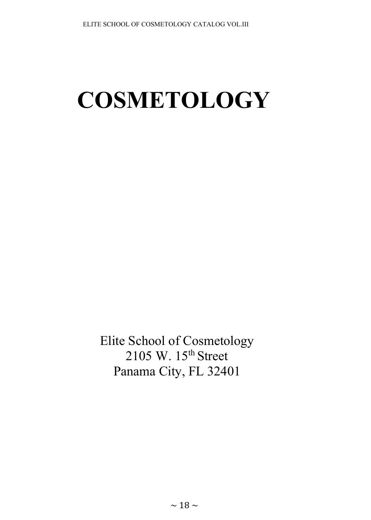# **COSMETOLOGY**

Elite School of Cosmetology 2105 W. 15<sup>th</sup> Street Panama City, FL 32401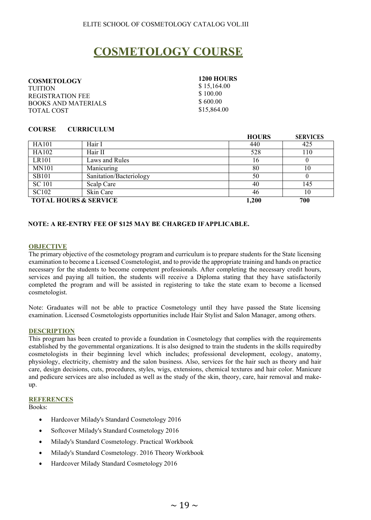## **COSMETOLOGY COURSE**

<span id="page-18-0"></span>**COSMETOLOGY**  TUITION REGISTRATION FEE BOOKS AND MATERIALS TOTAL COST

**1200 HOURS** \$ 15,164.00 \$ 100.00 \$ 600.00

\$15,864.00

#### **COURSE CURRICULUM**

|                                  |                         | <b>HOURS</b> | <b>SERVICES</b> |
|----------------------------------|-------------------------|--------------|-----------------|
| HA101                            | Hair I                  | 440          | 425             |
| HA102                            | Hair II                 | 528          | 110             |
| <b>LR101</b>                     | Laws and Rules          | 16           |                 |
| <b>MN101</b>                     | Manicuring              | 80           | 10              |
| <b>SB101</b>                     | Sanitation/Bacteriology | 50           |                 |
| <b>SC</b> 101                    | Scalp Care              | 40           | 145             |
| SC102                            | Skin Care               | 46           | 10              |
| <b>TOTAL HOURS &amp; SERVICE</b> |                         | 1,200        | 700             |

#### **NOTE: A RE-ENTRY FEE OF \$125 MAY BE CHARGED IFAPPLICABLE.**

#### **OBJECTIVE**

The primary objective of the cosmetology program and curriculum is to prepare students for the State licensing examination to become a Licensed Cosmetologist, and to provide the appropriate training and hands on practice necessary for the students to become competent professionals. After completing the necessary credit hours, services and paying all tuition, the students will receive a Diploma stating that they have satisfactorily completed the program and will be assisted in registering to take the state exam to become a licensed cosmetologist.

Note: Graduates will not be able to practice Cosmetology until they have passed the State licensing examination. Licensed Cosmetologists opportunities include Hair Stylist and Salon Manager, among others.

#### **DESCRIPTION**

This program has been created to provide a foundation in Cosmetology that complies with the requirements established by the governmental organizations. It is also designed to train the students in the skills requiredby cosmetologists in their beginning level which includes; professional development, ecology, anatomy, physiology, electricity, chemistry and the salon business. Also, services for the hair such as theory and hair care, design decisions, cuts, procedures, styles, wigs, extensions, chemical textures and hair color. Manicure and pedicure services are also included as well as the study of the skin, theory, care, hair removal and makeup.

#### **REFERENCES**

Books:

- Hardcover Milady's Standard Cosmetology 2016
- Softcover Milady's Standard Cosmetology 2016
- Milady's Standard Cosmetology. Practical Workbook
- Milady's Standard Cosmetology. 2016 Theory Workbook
- Hardcover Milady Standard Cosmetology 2016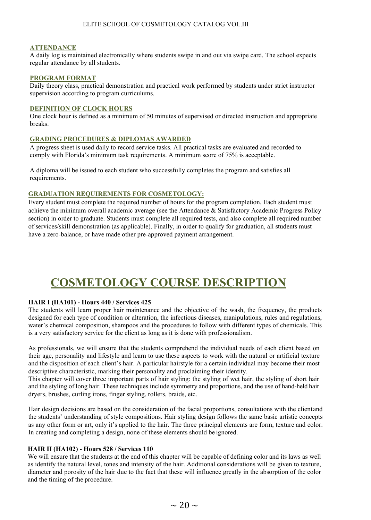#### **ATTENDANCE**

A daily log is maintained electronically where students swipe in and out via swipe card. The school expects regular attendance by all students.

#### **PROGRAM FORMAT**

Daily theory class, practical demonstration and practical work performed by students under strict instructor supervision according to program curriculums.

#### **DEFINITION OF CLOCK HOURS**

One clock hour is defined as a minimum of 50 minutes of supervised or directed instruction and appropriate breaks.

#### **GRADING PROCEDURES & DIPLOMAS AWARDED**

A progress sheet is used daily to record service tasks. All practical tasks are evaluated and recorded to comply with Florida's minimum task requirements. A minimum score of 75% is acceptable.

A diploma will be issued to each student who successfully completes the program and satisfies all requirements.

#### **GRADUATION REQUIREMENTS FOR COSMETOLOGY:**

Every student must complete the required number of hours for the program completion. Each student must achieve the minimum overall academic average (see the Attendance & Satisfactory Academic Progress Policy section) in order to graduate. Students must complete all required tests, and also complete all required number of services/skill demonstration (as applicable). Finally, in order to qualify for graduation, all students must have a zero-balance, or have made other pre-approved payment arrangement.

### **COSMETOLOGY COURSE DESCRIPTION**

#### **HAIR I (HA101) - Hours 440 / Services 425**

The students will learn proper hair maintenance and the objective of the wash, the frequency, the products designed for each type of condition or alteration, the infectious diseases, manipulations, rules and regulations, water's chemical composition, shampoos and the procedures to follow with different types of chemicals. This is a very satisfactory service for the client as long as it is done with professionalism.

As professionals, we will ensure that the students comprehend the individual needs of each client based on their age, personality and lifestyle and learn to use these aspects to work with the natural or artificial texture and the disposition of each client's hair. A particular hairstyle for a certain individual may become their most descriptive characteristic, marking their personality and proclaiming their identity.

This chapter will cover three important parts of hair styling: the styling of wet hair, the styling of short hair and the styling of long hair. These techniques include symmetry and proportions, and the use of hand-held hair dryers, brushes, curling irons, finger styling, rollers, braids, etc.

Hair design decisions are based on the consideration of the facial proportions, consultations with the clientand the students' understanding of style compositions. Hair styling design follows the same basic artistic concepts as any other form or art, only it's applied to the hair. The three principal elements are form, texture and color. In creating and completing a design, none of these elements should be ignored.

#### **HAIR II (HA102) - Hours 528 / Services 110**

We will ensure that the students at the end of this chapter will be capable of defining color and its laws as well as identify the natural level, tones and intensity of the hair. Additional considerations will be given to texture, diameter and porosity of the hair due to the fact that these will influence greatly in the absorption of the color and the timing of the procedure.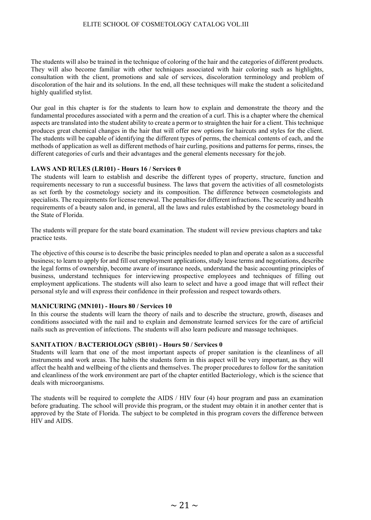The students will also be trained in the technique of coloring of the hair and the categories of different products. They will also become familiar with other techniques associated with hair coloring such as highlights, consultation with the client, promotions and sale of services, discoloration terminology and problem of discoloration of the hair and its solutions. In the end, all these techniques will make the student a solicitedand highly qualified stylist.

Our goal in this chapter is for the students to learn how to explain and demonstrate the theory and the fundamental procedures associated with a perm and the creation of a curl. This is a chapter where the chemical aspects are translated into the student ability to create a perm or to straighten the hair for a client. This technique produces great chemical changes in the hair that will offer new options for haircuts and styles for the client. The students will be capable of identifying the different types of perms, the chemical contents of each, and the methods of application as well as different methods of hair curling, positions and patterns for perms, rinses, the different categories of curls and their advantages and the general elements necessary for the job.

#### **LAWS AND RULES (LR101) - Hours 16 / Services 0**

The students will learn to establish and describe the different types of property, structure, function and requirements necessary to run a successful business. The laws that govern the activities of all cosmetologists as set forth by the cosmetology society and its composition. The difference between cosmetologists and specialists. The requirements for license renewal. The penalties for different infractions. The security and health requirements of a beauty salon and, in general, all the laws and rules established by the cosmetology board in the State of Florida.

The students will prepare for the state board examination. The student will review previous chapters and take practice tests.

The objective of this course is to describe the basic principles needed to plan and operate a salon as a successful business; to learn to apply for and fill out employment applications, study lease terms and negotiations, describe the legal forms of ownership, become aware of insurance needs, understand the basic accounting principles of business, understand techniques for interviewing prospective employees and techniques of filling out employment applications. The students will also learn to select and have a good image that will reflect their personal style and will express their confidence in their profession and respect towards others.

#### **MANICURING (MN101) - Hours 80 / Services 10**

In this course the students will learn the theory of nails and to describe the structure, growth, diseases and conditions associated with the nail and to explain and demonstrate learned services for the care of artificial nails such as prevention of infections. The students will also learn pedicure and massage techniques.

#### **SANITATION / BACTERIOLOGY (SB101) - Hours 50 / Services 0**

Students will learn that one of the most important aspects of proper sanitation is the cleanliness of all instruments and work areas. The habits the students form in this aspect will be very important, as they will affect the health and wellbeing of the clients and themselves. The proper procedures to follow for the sanitation and cleanliness of the work environment are part of the chapter entitled Bacteriology, which is the science that deals with microorganisms.

The students will be required to complete the AIDS / HIV four (4) hour program and pass an examination before graduating. The school will provide this program, or the student may obtain it in another center that is approved by the State of Florida. The subject to be completed in this program covers the difference between HIV and AIDS.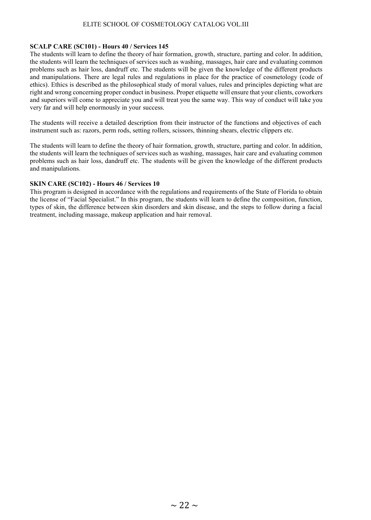#### **SCALP CARE (SC101) - Hours 40 / Services 145**

The students will learn to define the theory of hair formation, growth, structure, parting and color. In addition, the students will learn the techniques of services such as washing, massages, hair care and evaluating common problems such as hair loss, dandruff etc. The students will be given the knowledge of the different products and manipulations. There are legal rules and regulations in place for the practice of cosmetology (code of ethics). Ethics is described as the philosophical study of moral values, rules and principles depicting what are right and wrong concerning proper conduct in business. Proper etiquette will ensure that your clients, coworkers and superiors will come to appreciate you and will treat you the same way. This way of conduct will take you very far and will help enormously in your success.

The students will receive a detailed description from their instructor of the functions and objectives of each instrument such as: razors, perm rods, setting rollers, scissors, thinning shears, electric clippers etc.

The students will learn to define the theory of hair formation, growth, structure, parting and color. In addition, the students will learn the techniques of services such as washing, massages, hair care and evaluating common problems such as hair loss, dandruff etc. The students will be given the knowledge of the different products and manipulations.

#### **SKIN CARE (SC102) - Hours 46 / Services 10**

This program is designed in accordance with the regulations and requirements of the State of Florida to obtain the license of "Facial Specialist." In this program, the students will learn to define the composition, function, types of skin, the difference between skin disorders and skin disease, and the steps to follow during a facial treatment, including massage, makeup application and hair removal.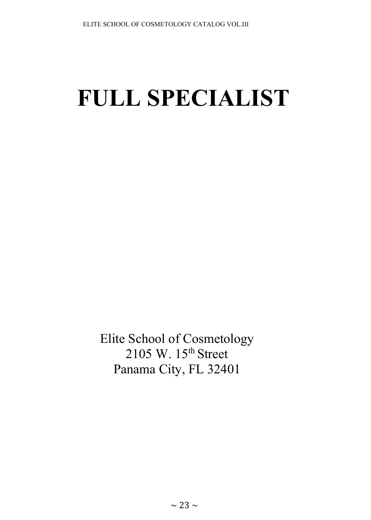# **FULL SPECIALIST**

Elite School of Cosmetology  $2105$  W.  $15<sup>th</sup>$  Street Panama City, FL 32401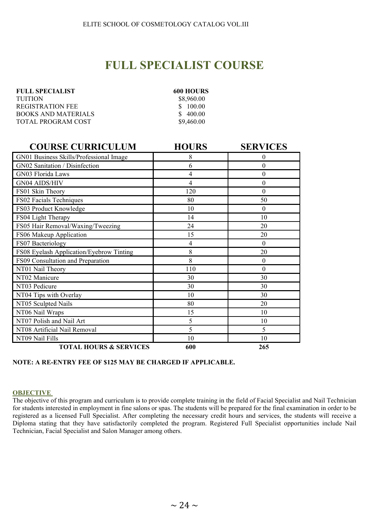## **FULL SPECIALIST COURSE**

| <b>FULL SPECIALIST</b> | <b>600 HOUR</b> |
|------------------------|-----------------|
| <b>TUITION</b>         | \$8,960.00      |
| REGISTRATION FEE       | \$100.00        |
| BOOKS AND MATERIALS    | \$400.00        |
| TOTAL PROGRAM COST     | \$9,460.00      |

| 600 HOURS  |
|------------|
| \$8,960.00 |
| \$100.00   |
| \$400.00   |
| \$9,460.00 |

| <b>COURSE CURRICULUM</b>                 | <b>HOURS</b>   | <b>SERVICES</b> |
|------------------------------------------|----------------|-----------------|
| GN01 Business Skills/Professional Image  | 8              | $\theta$        |
| GN02 Sanitation / Disinfection           | 6              | $\theta$        |
| GN03 Florida Laws                        | 4              | $\theta$        |
| <b>GN04 AIDS/HIV</b>                     | 4              | $\theta$        |
| FS01 Skin Theory                         | 120            | $\theta$        |
| FS02 Facials Techniques                  | 80             | 50              |
| FS03 Product Knowledge                   | 10             | $\theta$        |
| FS04 Light Therapy                       | 14             | 10              |
| FS05 Hair Removal/Waxing/Tweezing        | 24             | 20              |
| FS06 Makeup Application                  | 15             | 20              |
| FS07 Bacteriology                        | $\overline{4}$ | $\theta$        |
| FS08 Eyelash Application/Eyebrow Tinting | 8              | 20              |
| FS09 Consultation and Preparation        | 8              | $\theta$        |
| NT01 Nail Theory                         | 110            | $\theta$        |
| NT02 Manicure                            | 30             | 30              |
| NT03 Pedicure                            | 30             | 30              |
| NT04 Tips with Overlay                   | 10             | 30              |
| NT05 Sculpted Nails                      | 80             | 20              |
| NT06 Nail Wraps                          | 15             | 10              |
| NT07 Polish and Nail Art                 | 5              | 10              |
| NT08 Artificial Nail Removal             | 5              | 5               |
| NT09 Nail Fills                          | 10             | 10              |
| <b>TOTAL HOURS &amp; SERVICES</b>        | 600            | 265             |

#### **NOTE: A RE-ENTRY FEE OF \$125 MAY BE CHARGED IF APPLICABLE.**

#### **OBJECTIVE**

The objective of this program and curriculum is to provide complete training in the field of Facial Specialist and Nail Technician for students interested in employment in fine salons or spas. The students will be prepared for the final examination in order to be registered as a licensed Full Specialist. After completing the necessary credit hours and services, the students will receive a Diploma stating that they have satisfactorily completed the program. Registered Full Specialist opportunities include Nail Technician, Facial Specialist and Salon Manager among others.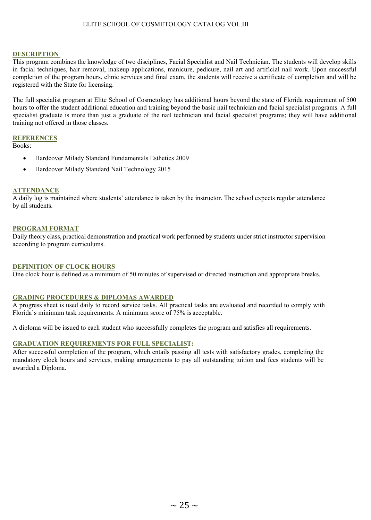#### **DESCRIPTION**

This program combines the knowledge of two disciplines, Facial Specialist and Nail Technician. The students will develop skills in facial techniques, hair removal, makeup applications, manicure, pedicure, nail art and artificial nail work. Upon successful completion of the program hours, clinic services and final exam, the students will receive a certificate of completion and will be registered with the State for licensing.

The full specialist program at Elite School of Cosmetology has additional hours beyond the state of Florida requirement of 500 hours to offer the student additional education and training beyond the basic nail technician and facial specialist programs. A full specialist graduate is more than just a graduate of the nail technician and facial specialist programs; they will have additional training not offered in those classes.

#### **REFERENCES**

Books:

- Hardcover Milady Standard Fundamentals Esthetics 2009
- Hardcover Milady Standard Nail Technology 2015

#### **ATTENDANCE**

A daily log is maintained where students' attendance is taken by the instructor. The school expects regular attendance by all students.

#### **PROGRAM FORMAT**

Daily theory class, practical demonstration and practical work performed by students under strict instructor supervision according to program curriculums.

#### **DEFINITION OF CLOCK HOURS**

One clock hour is defined as a minimum of 50 minutes of supervised or directed instruction and appropriate breaks.

#### **GRADING PROCEDURES & DIPLOMAS AWARDED**

A progress sheet is used daily to record service tasks. All practical tasks are evaluated and recorded to comply with Florida's minimum task requirements. A minimum score of 75% is acceptable.

A diploma will be issued to each student who successfully completes the program and satisfies all requirements.

#### **GRADUATION REQUIREMENTS FOR FULL SPECIALIST:**

After successful completion of the program, which entails passing all tests with satisfactory grades, completing the mandatory clock hours and services, making arrangements to pay all outstanding tuition and fees students will be awarded a Diploma.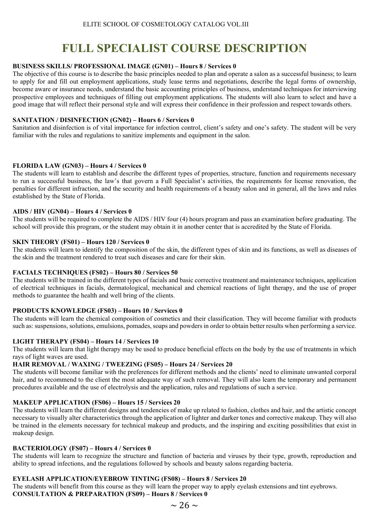## **FULL SPECIALIST COURSE DESCRIPTION**

#### **BUSINESS SKILLS/ PROFESSIONAL IMAGE (GN01) – Hours 8 / Services 0**

The objective of this course is to describe the basic principles needed to plan and operate a salon as a successful business; to learn to apply for and fill out employment applications, study lease terms and negotiations, describe the legal forms of ownership, become aware or insurance needs, understand the basic accounting principles of business, understand techniques for interviewing prospective employees and techniques of filling out employment applications. The students will also learn to select and have a good image that will reflect their personal style and will express their confidence in their profession and respect towards others.

#### **SANITATION / DISINFECTION (GN02) – Hours 6 / Services 0**

Sanitation and disinfection is of vital importance for infection control, client's safety and one's safety. The student will be very familiar with the rules and regulations to sanitize implements and equipment in the salon.

#### **FLORIDA LAW (GN03) – Hours 4 / Services 0**

The students will learn to establish and describe the different types of properties, structure, function and requirements necessary to run a successful business, the law's that govern a Full Specialist's activities, the requirements for license renovation, the penalties for different infraction, and the security and health requirements of a beauty salon and in general, all the laws and rules established by the State of Florida.

#### **AIDS / HIV (GN04) – Hours 4 / Services 0**

The students will be required to complete the AIDS / HIV four (4) hours program and pass an examination before graduating. The school will provide this program, or the student may obtain it in another center that is accredited by the State of Florida.

#### **SKIN THEORY (FS01) – Hours 120 / Services 0**

The students will learn to identify the composition of the skin, the different types of skin and its functions, as well as diseases of the skin and the treatment rendered to treat such diseases and care for their skin.

#### **FACIALS TECHNIQUES (FS02) – Hours 80 / Services 50**

The students will be trained in the different types of facials and basic corrective treatment and maintenance techniques, application of electrical techniques in facials, dermatological, mechanical and chemical reactions of light therapy, and the use of proper methods to guarantee the health and well bring of the clients.

#### **PRODUCTS KNOWLEDGE (FS03) – Hours 10 / Services 0**

The students will learn the chemical composition of cosmetics and their classification. They will become familiar with products such as: suspensions, solutions, emulsions, pomades, soaps and powders in order to obtain better results when performing a service.

#### **LIGHT THERAPY (FS04) – Hours 14 / Services 10**

The students will learn that light therapy may be used to produce beneficial effects on the body by the use of treatments in which rays of light waves are used.

#### **HAIR REMOVAL / WAXING / TWEEZING (FS05) – Hours 24 / Services 20**

The students will become familiar with the preferences for different methods and the clients' need to eliminate unwanted corporal hair, and to recommend to the client the most adequate way of such removal. They will also learn the temporary and permanent procedures available and the use of electrolysis and the application, rules and regulations of such a service.

#### **MAKEUP APPLICATION (FS06) – Hours 15 / Services 20**

The students will learn the different designs and tendencies of make up related to fashion, clothes and hair, and the artistic concept necessary to visually alter characteristics through the application of lighter and darker tones and corrective makeup. They will also be trained in the elements necessary for technical makeup and products, and the inspiring and exciting possibilities that exist in makeup design.

#### **BACTERIOLOGY (FS07) – Hours 4 / Services 0**

The students will learn to recognize the structure and function of bacteria and viruses by their type, growth, reproduction and ability to spread infections, and the regulations followed by schools and beauty salons regarding bacteria.

#### **EYELASH APPLICATION/EYEBROW TINTING (FS08) – Hours 8 / Services 20**

The students will benefit from this course as they will learn the proper way to apply eyelash extensions and tint eyebrows. **CONSULTATION & PREPARATION (FS09) – Hours 8 / Services 0**